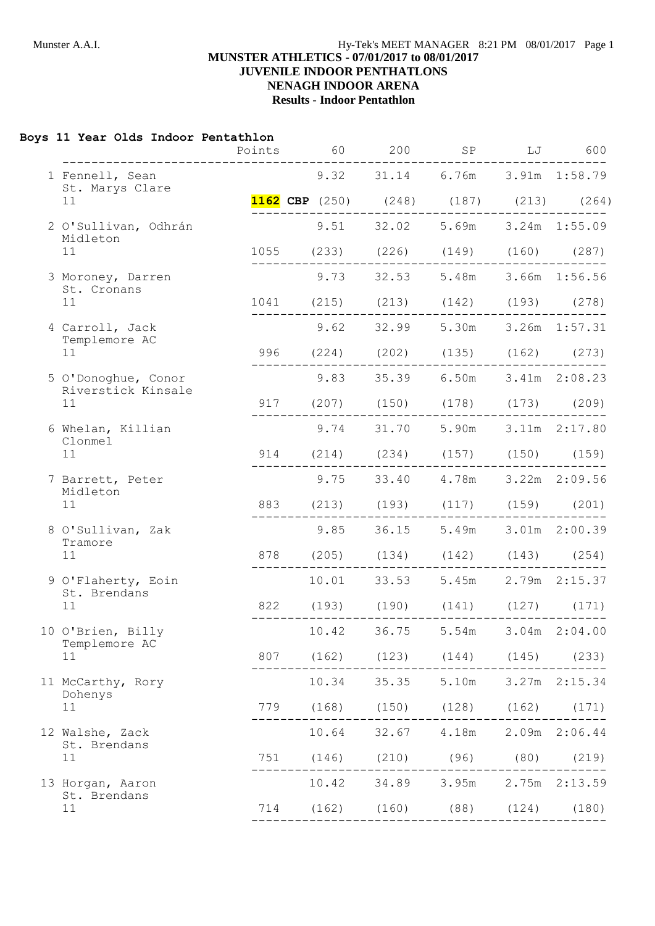## **Boys 11 Year Olds Indoor Pentathlon**

|                                    | Points | 60                                            | 200   | ${\rm SP}$                              | LJ | 600           |
|------------------------------------|--------|-----------------------------------------------|-------|-----------------------------------------|----|---------------|
| 1 Fennell, Sean<br>St. Marys Clare |        | 9.32 31.14 6.76m 3.91m 1:58.79                |       |                                         |    |               |
| 11                                 |        | <b>1162 CBP</b> (250) (248) (187) (213) (264) |       |                                         |    |               |
| 2 O'Sullivan, Odhrán<br>Midleton   |        | 9.51                                          |       | 32.02 5.69m 3.24m 1:55.09               |    |               |
| 11                                 |        | 1055 (233) (226) (149) (160) (287)            |       |                                         |    |               |
| 3 Moroney, Darren                  |        |                                               |       | 9.73 32.53 5.48m 3.66m 1:56.56          |    |               |
| St. Cronans<br>11                  |        | 1041 (215) (213) (142) (193) (278)            |       |                                         |    |               |
| 4 Carroll, Jack                    |        |                                               |       | 9.62 32.99 5.30m 3.26m 1:57.31          |    |               |
| Templemore AC<br>11                |        | 996 (224) (202) (135) (162)                   |       |                                         |    | (273)         |
| 5 O'Donoghue, Conor                |        |                                               |       | 9.83 35.39 6.50m 3.41m 2:08.23          |    |               |
| Riverstick Kinsale<br>11           |        | 917 (207) (150) (178) (173) (209)             |       |                                         |    |               |
| 6 Whelan, Killian                  |        |                                               |       | 9.74 31.70 5.90m 3.11m 2:17.80          |    |               |
| Clonmel<br>11                      |        | 914 (214) (234) (157) (150) (159)             |       |                                         |    |               |
| 7 Barrett, Peter                   |        |                                               |       | 9.75 33.40 4.78m 3.22m 2:09.56          |    |               |
| Midleton<br>11                     | 883    |                                               |       | $(213)$ $(193)$ $(117)$ $(159)$ $(201)$ |    |               |
| 8 O'Sullivan, Zak                  |        | 9.85                                          |       | 36.15 5.49m 3.01m 2:00.39               |    |               |
| Tramore<br>11                      | 878    |                                               |       | $(205)$ $(134)$ $(142)$ $(143)$ $(254)$ |    |               |
| 9 O'Flaherty, Eoin                 |        |                                               |       | 10.01 33.53 5.45m                       |    | 2.79m 2:15.37 |
| St. Brendans<br>11                 |        | 822 (193) (190) (141) (127) (171)             |       |                                         |    |               |
| 10 O'Brien, Billy                  |        | 10.42                                         | 36.75 | 5.54m                                   |    | 3.04m 2:04.00 |
| Templemore AC<br>11                | 807    |                                               |       | $(162)$ $(123)$ $(144)$ $(145)$ $(233)$ |    |               |
| 11 McCarthy, Rory                  |        |                                               |       | 10.34 35.35 5.10m 3.27m 2:15.34         |    |               |
| Dohenys<br>11                      | 779    |                                               |       | $(168)$ $(150)$ $(128)$ $(162)$ $(171)$ |    |               |
| 12 Walshe, Zack                    |        |                                               |       | 10.64 32.67 4.18m 2.09m 2:06.44         |    |               |
| St. Brendans<br>11                 |        | 751 (146) (210) (96) (80) (219)               |       |                                         |    |               |
| 13 Horgan, Aaron                   |        |                                               |       | 10.42 34.89 3.95m 2.75m 2:13.59         |    |               |
| St. Brendans<br>11                 |        | 714 (162) (160) (88) (124) (180)              |       |                                         |    |               |
|                                    |        |                                               |       |                                         |    |               |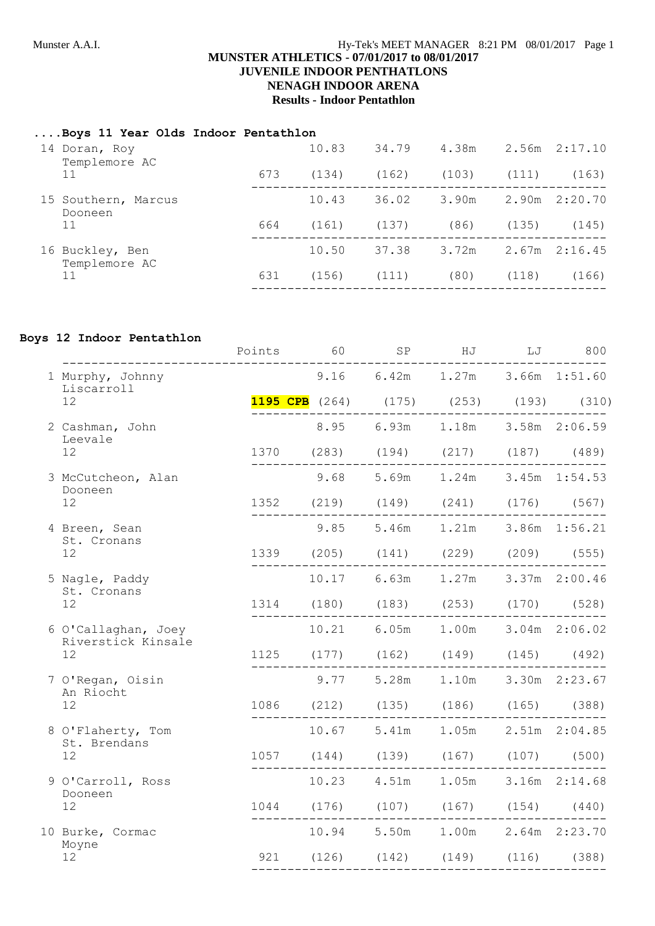## **....Boys 11 Year Olds Indoor Pentathlon**

|  | 14 Doran, Roy<br>Templemore AC   |     | 10.83 | 34.79 | 4.38m |       | $2.56m$ $2:17.10$ |
|--|----------------------------------|-----|-------|-------|-------|-------|-------------------|
|  | 11                               | 673 | (134) | (162) | (103) | (111) | (163)             |
|  | 15 Southern, Marcus<br>Dooneen   |     | 10.43 | 36.02 | 3.90m | 2.90m | 2:20.70           |
|  | 11                               | 664 | (161) | (137) | (86)  | (135) | (145)             |
|  | 16 Buckley, Ben<br>Templemore AC |     | 10.50 | 37.38 | 3.72m |       | $2.67m$ $2:16.45$ |
|  | 11                               | 631 | (156) | (111) | (80)  | (118) | (166)             |
|  |                                  |     |       |       |       |       |                   |

## **Boys 12 Indoor Pentathlon**

|                                           | Points | 60                                            | SP                  | HJ                              | LJ | 800 |
|-------------------------------------------|--------|-----------------------------------------------|---------------------|---------------------------------|----|-----|
| 1 Murphy, Johnny<br>Liscarroll            |        |                                               |                     | 9.16 6.42m 1.27m 3.66m 1:51.60  |    |     |
| 12                                        |        | <b>1195 CPB</b> (264) (175) (253) (193) (310) |                     |                                 |    |     |
| 2 Cashman, John<br>Leevale                |        |                                               |                     | 8.95 6.93m 1.18m 3.58m 2:06.59  |    |     |
| $12 \overline{ }$                         |        | 1370 (283) (194) (217) (187) (489)            | . _ _ _ _ _ _ _ _ _ |                                 |    |     |
| 3 McCutcheon, Alan<br>Dooneen             |        | 9.68 5.69m 1.24m 3.45m 1:54.53                |                     |                                 |    |     |
| 12                                        |        | 1352 (219) (149) (241) (176) (567)            |                     |                                 |    |     |
| 4 Breen, Sean<br>St. Cronans              |        |                                               |                     | 9.85 5.46m 1.21m 3.86m 1:56.21  |    |     |
| 12                                        |        | 1339 (205) (141) (229) (209) (555)            |                     |                                 |    |     |
| 5 Nagle, Paddy<br>St. Cronans             |        | 10.17 6.63m 1.27m 3.37m 2:00.46               |                     |                                 |    |     |
| 12                                        |        | 1314 (180) (183) (253) (170) (528)            |                     |                                 |    |     |
| 6 O'Callaghan, Joey<br>Riverstick Kinsale |        | 10.21                                         |                     | 6.05m 1.00m 3.04m 2:06.02       |    |     |
| 12                                        |        | 1125 (177) (162) (149) (145) (492)            |                     |                                 |    |     |
| 7 O'Regan, Oisin<br>An Riocht             |        |                                               |                     | 9.77 5.28m 1.10m 3.30m 2:23.67  |    |     |
| 12                                        |        | 1086 (212) (135) (186) (165) (388)            |                     |                                 |    |     |
| 8 O'Flaherty, Tom<br>St. Brendans         |        | 10.67 5.41m 1.05m 2.51m 2:04.85               |                     |                                 |    |     |
| 12                                        |        | 1057 (144) (139) (167) (107) (500)            |                     |                                 |    |     |
| 9 O'Carroll, Ross                         |        |                                               |                     | 10.23 4.51m 1.05m 3.16m 2:14.68 |    |     |
| Dooneen<br>12 <sup>°</sup>                |        | 1044 (176) (107) (167) (154) (440)            |                     |                                 |    |     |
| 10 Burke, Cormac                          |        | 10.94 5.50m 1.00m 2.64m 2:23.70               |                     |                                 |    |     |
| Moyne<br>12                               |        | 921 (126) (142) (149) (116) (388)             |                     |                                 |    |     |
|                                           |        |                                               |                     |                                 |    |     |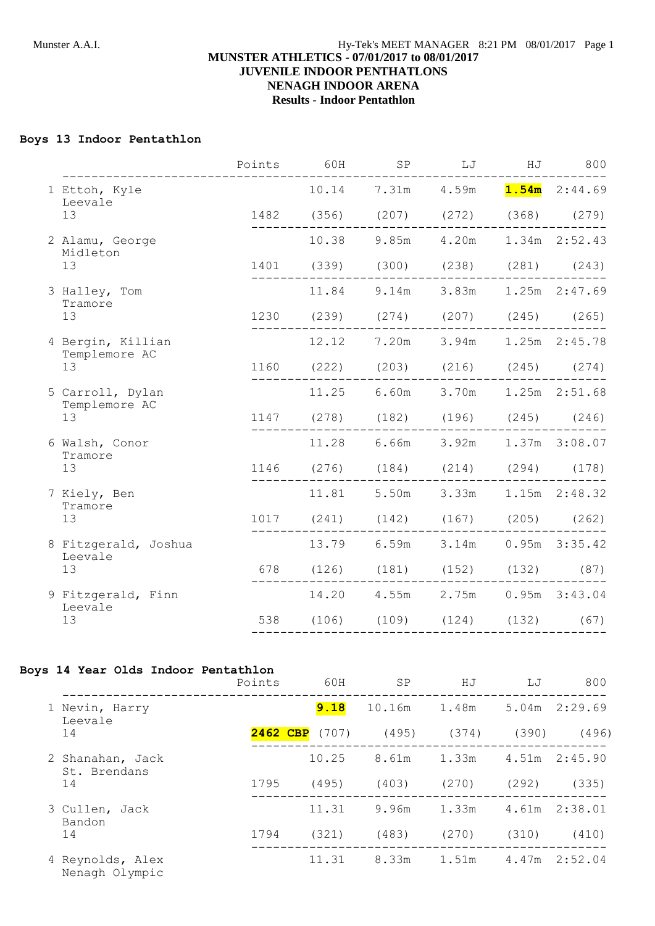## **Boys 13 Indoor Pentathlon**

|                                   | Points | 60H | SP                                     | LJ | HJ | 800 |
|-----------------------------------|--------|-----|----------------------------------------|----|----|-----|
| 1 Ettoh, Kyle<br>Leevale          |        |     | 10.14 7.31m 4.59m <b>1.54m</b> 2:44.69 |    |    |     |
| 13                                |        |     | 1482 (356) (207) (272) (368) (279)     |    |    |     |
| 2 Alamu, George<br>Midleton       |        |     | 10.38 9.85m 4.20m 1.34m 2:52.43        |    |    |     |
| 13                                |        |     | 1401 (339) (300) (238) (281) (243)     |    |    |     |
| 3 Halley, Tom<br>Tramore          |        |     | 11.84 9.14m 3.83m 1.25m 2:47.69        |    |    |     |
| 13                                |        |     | 1230 (239) (274) (207) (245) (265)     |    |    |     |
| 4 Bergin, Killian                 |        |     | 12.12 7.20m 3.94m 1.25m 2:45.78        |    |    |     |
| Templemore AC<br>13               |        |     | 1160 (222) (203) (216) (245) (274)     |    |    |     |
| 5 Carroll, Dylan<br>Templemore AC |        |     | 11.25 6.60m 3.70m 1.25m 2:51.68        |    |    |     |
| 13                                |        |     | 1147 (278) (182) (196) (245) (246)     |    |    |     |
| 6 Walsh, Conor<br>Tramore         |        |     | 11.28 6.66m 3.92m 1.37m 3:08.07        |    |    |     |
| 13                                |        |     | 1146 (276) (184) (214) (294) (178)     |    |    |     |
| 7 Kiely, Ben<br>Tramore           |        |     | 11.81 5.50m 3.33m 1.15m 2:48.32        |    |    |     |
| 13                                |        |     | 1017 (241) (142) (167) (205) (262)     |    |    |     |
| 8 Fitzgerald, Joshua              |        |     | 13.79 6.59m 3.14m 0.95m 3:35.42        |    |    |     |
| Leevale<br>13                     |        |     | 678 (126) (181) (152) (132) (87)       |    |    |     |
| 9 Fitzgerald, Finn<br>Leevale     |        |     | 14.20  4.55m  2.75m  0.95m  3:43.04    |    |    |     |
| 13                                |        |     | 538 (106) (109) (124) (132) (67)       |    |    |     |
|                                   |        |     |                                        |    |    |     |

#### **Boys 14 Year Olds Indoor Pentathlon**

|                                    | Points   | 60H   | SP     | HJ    | LJ    | 800               |
|------------------------------------|----------|-------|--------|-------|-------|-------------------|
| Nevin, Harry<br>Leevale            |          | 9.18  | 10.16m | 1.48m |       | $5.04m$ $2:29.69$ |
| 14                                 | 2462 CBP | (707) | (495)  | (374) | (390) | (496)             |
| 2 Shanahan, Jack<br>St. Brendans   |          | 10.25 | 8.61m  | 1.33m | 4.51m | 2:45.90           |
| 14                                 | 1795     | (495) | (403)  | (270) | (292) | (335)             |
| 3 Cullen, Jack<br>Bandon           |          | 11.31 | 9.96m  | 1.33m | 4.61m | 2:38.01           |
| 14                                 | 1794     | (321) | (483)  | (270) | (310) | (410)             |
| 4 Reynolds, Alex<br>Nenagh Olympic |          | 11.31 | 8.33m  | 1.51m | 4.47m | 2:52.04           |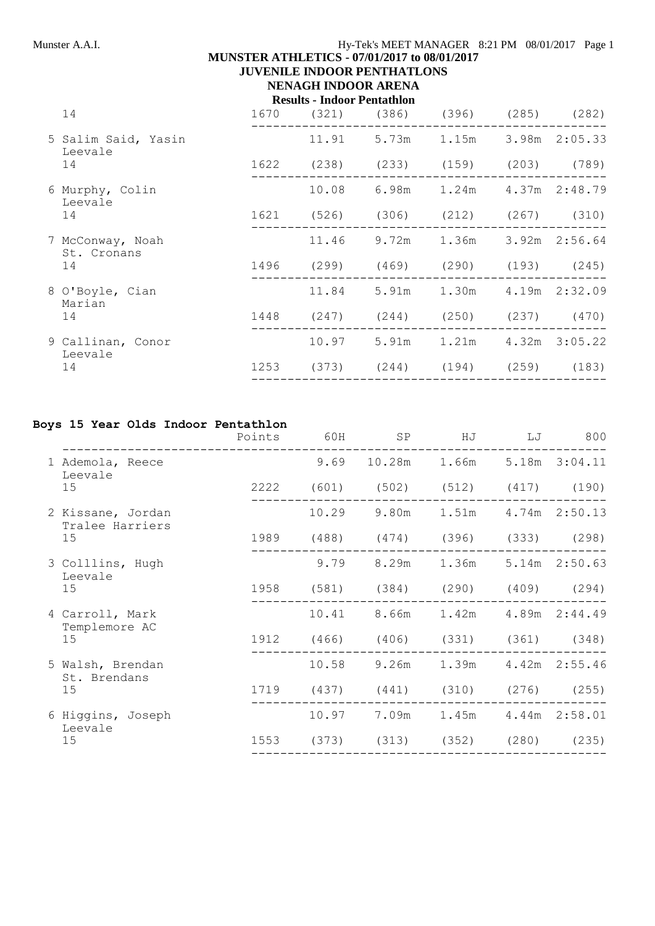# **MUNSTER ATHLETICS - 07/01/2017 to 08/01/2017**

**JUVENILE INDOOR PENTHATLONS**

## **NENAGH INDOOR ARENA Results - Indoor Pentathlon**

|  | 14                              | 1670       | (321) | (386) | (396)                                   | (285) | (282)             |
|--|---------------------------------|------------|-------|-------|-----------------------------------------|-------|-------------------|
|  | 5 Salim Said, Yasin<br>Leevale  |            | 11.91 | 5.73m | 1.15m                                   |       | 3.98m 2:05.33     |
|  | 14                              | 1622       | (238) |       | (233) (159) (203) (789)                 |       |                   |
|  | 6 Murphy, Colin<br>Leevale      |            | 10.08 | 6.98m | 1.24m                                   |       | 4.37m 2:48.79     |
|  | 14                              | 1621 (526) |       |       | $(306)$ $(212)$                         |       | $(267)$ $(310)$   |
|  | 7 McConway, Noah<br>St. Cronans |            | 11.46 | 9.72m | 1.36m                                   |       | $3.92m$ $2:56.64$ |
|  | 14                              | 1496       | (299) | (469) | $(290)$ $(193)$ $(245)$                 |       |                   |
|  | 8 O'Boyle, Cian<br>Marian       |            | 11.84 |       | 5.91m 1.30m 4.19m 2:32.09               |       |                   |
|  | 14                              | 1448       |       |       | $(247)$ $(244)$ $(250)$ $(237)$ $(470)$ |       |                   |
|  | 9 Callinan, Conor<br>Leevale    |            |       |       | 10.97 5.91m 1.21m 4.32m 3:05.22         |       |                   |
|  | 14                              | 1253       |       |       | (373) (244) (194) (259)                 |       | (183)             |
|  |                                 |            |       |       |                                         |       |                   |

## **Boys 15 Year Olds Indoor Pentathlon**

|                                      | Points | 60H   | SP                                      | ΗJ                              | LJ | 800           |
|--------------------------------------|--------|-------|-----------------------------------------|---------------------------------|----|---------------|
| 1 Ademola, Reece<br>Leevale          |        |       | 9.69 10.28m 1.66m                       |                                 |    | 5.18m 3:04.11 |
| 15                                   |        |       | 2222 (601) (502) (512) (417) (190)      |                                 |    |               |
| 2 Kissane, Jordan<br>Tralee Harriers |        | 10.29 | 9.80m                                   | 1.51m                           |    | 4.74m 2:50.13 |
| 15                                   | 1989   |       | $(488)$ $(474)$ $(396)$ $(333)$ $(298)$ |                                 |    |               |
| 3 Colllins, Hugh<br>Leevale          |        | 9.79  | 8.29m                                   | 1.36m                           |    | 5.14m 2:50.63 |
| 15                                   | 1958   | (581) |                                         | $(384)$ $(290)$ $(409)$ $(294)$ |    |               |
| 4 Carroll, Mark<br>Templemore AC     |        |       | 10.41 8.66m 1.42m                       |                                 |    | 4.89m 2:44.49 |
| 15                                   | 1912   |       | $(466)$ $(406)$ $(331)$ $(361)$ $(348)$ |                                 |    |               |
| 5 Walsh, Brendan<br>St. Brendans     |        | 10.58 | 9.26m                                   | 1.39m                           |    | 4.42m 2:55.46 |
| 15                                   | 1719   | (437) | (441)                                   | $(310)$ $(276)$                 |    | (255)         |
| 6 Higgins, Joseph<br>Leevale         |        | 10.97 | 7.09m                                   | 1.45m                           |    | 4.44m 2:58.01 |
| 15                                   |        |       | 1553 (373) (313) (352) (280) (235)      |                                 |    |               |
|                                      |        |       |                                         |                                 |    |               |